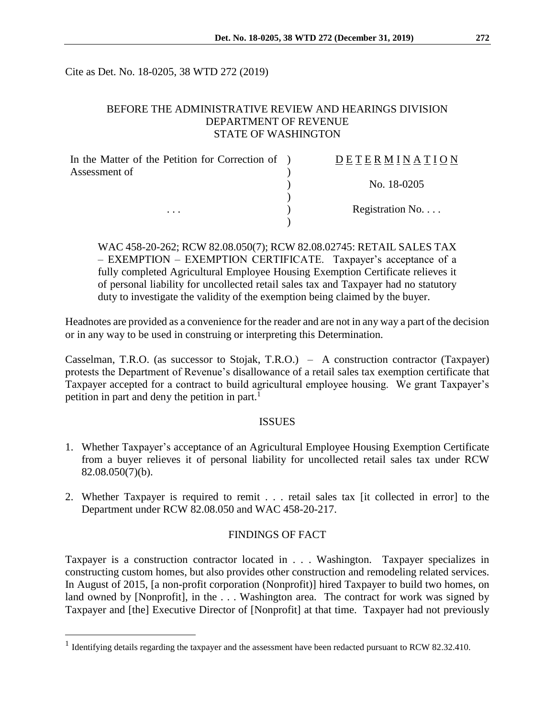Cite as Det. No. 18-0205, 38 WTD 272 (2019)

# BEFORE THE ADMINISTRATIVE REVIEW AND HEARINGS DIVISION DEPARTMENT OF REVENUE STATE OF WASHINGTON

| In the Matter of the Petition for Correction of ) | DETERMINATION   |
|---------------------------------------------------|-----------------|
| Assessment of                                     |                 |
|                                                   | No. 18-0205     |
|                                                   | Registration No |
| $\cdots$                                          |                 |

WAC 458-20-262; RCW 82.08.050(7); RCW 82.08.02745: RETAIL SALES TAX – EXEMPTION – EXEMPTION CERTIFICATE. Taxpayer's acceptance of a fully completed Agricultural Employee Housing Exemption Certificate relieves it of personal liability for uncollected retail sales tax and Taxpayer had no statutory duty to investigate the validity of the exemption being claimed by the buyer.

Headnotes are provided as a convenience for the reader and are not in any way a part of the decision or in any way to be used in construing or interpreting this Determination.

Casselman, T.R.O. (as successor to Stojak, T.R.O.) – A construction contractor (Taxpayer) protests the Department of Revenue's disallowance of a retail sales tax exemption certificate that Taxpayer accepted for a contract to build agricultural employee housing. We grant Taxpayer's petition in part and deny the petition in part.<sup>1</sup>

## ISSUES

- 1. Whether Taxpayer's acceptance of an Agricultural Employee Housing Exemption Certificate from a buyer relieves it of personal liability for uncollected retail sales tax under RCW 82.08.050(7)(b).
- 2. Whether Taxpayer is required to remit . . . retail sales tax [it collected in error] to the Department under RCW 82.08.050 and WAC 458-20-217.

## FINDINGS OF FACT

Taxpayer is a construction contractor located in . . . Washington. Taxpayer specializes in constructing custom homes, but also provides other construction and remodeling related services. In August of 2015, [a non-profit corporation (Nonprofit)] hired Taxpayer to build two homes, on land owned by [Nonprofit], in the ... Washington area. The contract for work was signed by Taxpayer and [the] Executive Director of [Nonprofit] at that time. Taxpayer had not previously

 $\overline{a}$ 

<sup>&</sup>lt;sup>1</sup> Identifying details regarding the taxpayer and the assessment have been redacted pursuant to RCW 82.32.410.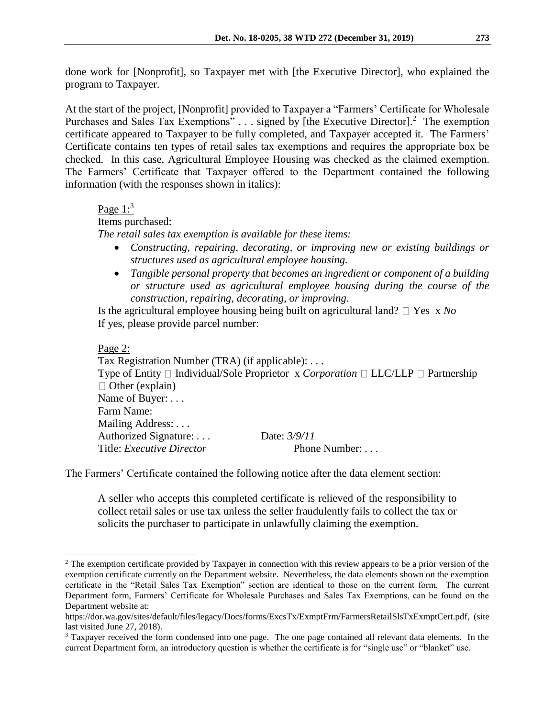done work for [Nonprofit], so Taxpayer met with [the Executive Director], who explained the program to Taxpayer.

At the start of the project, [Nonprofit] provided to Taxpayer a "Farmers' Certificate for Wholesale Purchases and Sales Tax Exemptions" . . . signed by [the Executive Director].<sup>2</sup> The exemption certificate appeared to Taxpayer to be fully completed, and Taxpayer accepted it. The Farmers' Certificate contains ten types of retail sales tax exemptions and requires the appropriate box be checked. In this case, Agricultural Employee Housing was checked as the claimed exemption. The Farmers' Certificate that Taxpayer offered to the Department contained the following information (with the responses shown in italics):

## Page  $1:3$

Items purchased:

*The retail sales tax exemption is available for these items:*

- *Constructing, repairing, decorating, or improving new or existing buildings or structures used as agricultural employee housing.*
- *Tangible personal property that becomes an ingredient or component of a building or structure used as agricultural employee housing during the course of the construction, repairing, decorating, or improving.*

Is the agricultural employee housing being built on agricultural land?  $\Box$  Yes x *No* If yes, please provide parcel number:

Page 2:

 $\overline{a}$ 

Tax Registration Number (TRA) (if applicable): *. . .* Type of Entity  $\Box$  Individual/Sole Proprietor x *Corporation*  $\Box$  LLC/LLP  $\Box$  Partnership  $\Box$  Other (explain) Name of Buyer: *. . .* Farm Name: Mailing Address: *. . .* Authorized Signature: *. . .* Date: *3/9/11* Title: *Executive Director* Phone Number: . . .

The Farmers' Certificate contained the following notice after the data element section:

A seller who accepts this completed certificate is relieved of the responsibility to collect retail sales or use tax unless the seller fraudulently fails to collect the tax or solicits the purchaser to participate in unlawfully claiming the exemption.

<sup>&</sup>lt;sup>2</sup> The exemption certificate provided by Taxpayer in connection with this review appears to be a prior version of the exemption certificate currently on the Department website. Nevertheless, the data elements shown on the exemption certificate in the "Retail Sales Tax Exemption" section are identical to those on the current form. The current Department form, Farmers' Certificate for Wholesale Purchases and Sales Tax Exemptions, can be found on the Department website at:

https://dor.wa.gov/sites/default/files/legacy/Docs/forms/ExcsTx/ExmptFrm/FarmersRetailSlsTxExmptCert.pdf, (site last visited June 27, 2018).

<sup>&</sup>lt;sup>3</sup> Taxpayer received the form condensed into one page. The one page contained all relevant data elements. In the current Department form, an introductory question is whether the certificate is for "single use" or "blanket" use.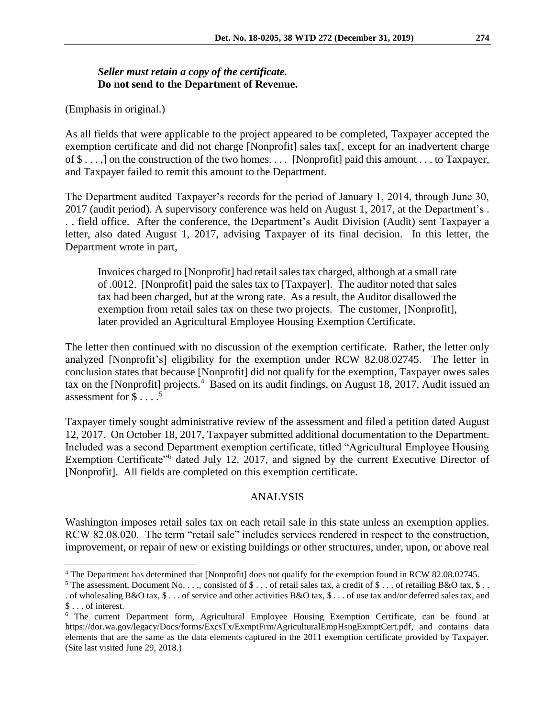# *Seller must retain a copy of the certificate.*  **Do not send to the Department of Revenue.**

(Emphasis in original.)

 $\overline{a}$ 

As all fields that were applicable to the project appeared to be completed, Taxpayer accepted the exemption certificate and did not charge [Nonprofit] sales tax[, except for an inadvertent charge of \$ . . . ,] on the construction of the two homes. . . . [Nonprofit] paid this amount . . . to Taxpayer, and Taxpayer failed to remit this amount to the Department.

The Department audited Taxpayer's records for the period of January 1, 2014, through June 30, 2017 (audit period). A supervisory conference was held on August 1, 2017, at the Department's . . . field office. After the conference, the Department's Audit Division (Audit) sent Taxpayer a letter, also dated August 1, 2017, advising Taxpayer of its final decision. In this letter, the Department wrote in part,

Invoices charged to [Nonprofit] had retail sales tax charged, although at a small rate of .0012. [Nonprofit] paid the sales tax to [Taxpayer]. The auditor noted that sales tax had been charged, but at the wrong rate. As a result, the Auditor disallowed the exemption from retail sales tax on these two projects. The customer, [Nonprofit], later provided an Agricultural Employee Housing Exemption Certificate.

The letter then continued with no discussion of the exemption certificate. Rather, the letter only analyzed [Nonprofit's] eligibility for the exemption under RCW 82.08.02745. The letter in conclusion states that because [Nonprofit] did not qualify for the exemption, Taxpayer owes sales tax on the [Nonprofit] projects.<sup>4</sup> Based on its audit findings, on August 18, 2017, Audit issued an assessment for  $\$\dots$ <sup>5</sup>

Taxpayer timely sought administrative review of the assessment and filed a petition dated August 12, 2017. On October 18, 2017, Taxpayer submitted additional documentation to the Department. Included was a second Department exemption certificate, titled "Agricultural Employee Housing Exemption Certificate<sup>16</sup> dated July 12, 2017, and signed by the current Executive Director of [Nonprofit]. All fields are completed on this exemption certificate.

#### ANALYSIS

Washington imposes retail sales tax on each retail sale in this state unless an exemption applies. RCW 82.08.020. The term "retail sale" includes services rendered in respect to the construction, improvement, or repair of new or existing buildings or other structures, under, upon, or above real

<sup>4</sup> The Department has determined that [Nonprofit] does not qualify for the exemption found in RCW 82.08.02745.

<sup>&</sup>lt;sup>5</sup> The assessment, Document No. . . ., consisted of \$ . . . of retail sales tax, a credit of \$ . . . of retailing B&O tax, \$ . . . of wholesaling B&O tax,  $\$\dots$  of service and other activities B&O tax,  $\$\dots$  of use tax and/or deferred sales tax, and \$ . . . of interest.

<sup>6</sup> The current Department form, Agricultural Employee Housing Exemption Certificate, can be found at https://dor.wa.gov/legacy/Docs/forms/ExcsTx/ExmptFrm/AgriculturalEmpHsngExmptCert.pdf, and contains data elements that are the same as the data elements captured in the 2011 exemption certificate provided by Taxpayer. (Site last visited June 29, 2018.)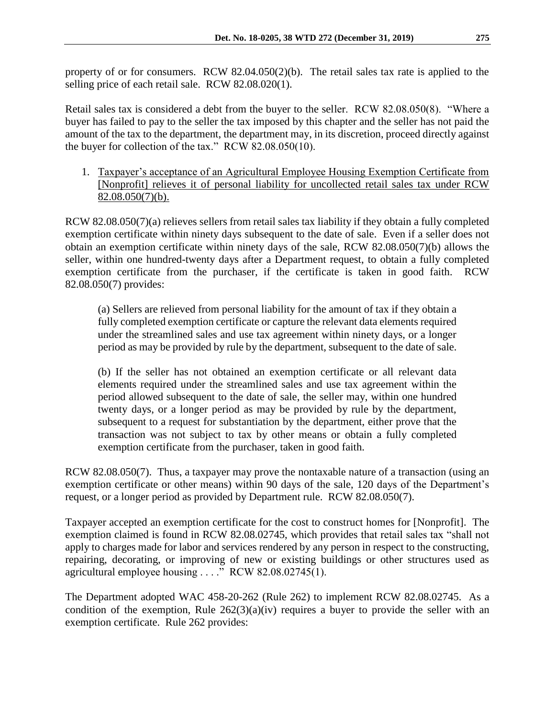property of or for consumers. RCW 82.04.050(2)(b). The retail sales tax rate is applied to the selling price of each retail sale. RCW 82.08.020(1).

Retail sales tax is considered a debt from the buyer to the seller. RCW 82.08.050(8). "Where a buyer has failed to pay to the seller the tax imposed by this chapter and the seller has not paid the amount of the tax to the department, the department may, in its discretion, proceed directly against the buyer for collection of the tax." RCW 82.08.050(10).

1. Taxpayer's acceptance of an Agricultural Employee Housing Exemption Certificate from [Nonprofit] relieves it of personal liability for uncollected retail sales tax under RCW 82.08.050(7)(b).

RCW 82.08.050(7)(a) relieves sellers from retail sales tax liability if they obtain a fully completed exemption certificate within ninety days subsequent to the date of sale. Even if a seller does not obtain an exemption certificate within ninety days of the sale, RCW 82.08.050(7)(b) allows the seller, within one hundred-twenty days after a Department request, to obtain a fully completed exemption certificate from the purchaser, if the certificate is taken in good faith. RCW 82.08.050(7) provides:

(a) Sellers are relieved from personal liability for the amount of tax if they obtain a fully completed exemption certificate or capture the relevant data elements required under the streamlined sales and use tax agreement within ninety days, or a longer period as may be provided by rule by the department, subsequent to the date of sale.

(b) If the seller has not obtained an exemption certificate or all relevant data elements required under the streamlined sales and use tax agreement within the period allowed subsequent to the date of sale, the seller may, within one hundred twenty days, or a longer period as may be provided by rule by the department, subsequent to a request for substantiation by the department, either prove that the transaction was not subject to tax by other means or obtain a fully completed exemption certificate from the purchaser, taken in good faith.

RCW 82.08.050(7). Thus, a taxpayer may prove the nontaxable nature of a transaction (using an exemption certificate or other means) within 90 days of the sale, 120 days of the Department's request, or a longer period as provided by Department rule. RCW 82.08.050(7).

Taxpayer accepted an exemption certificate for the cost to construct homes for [Nonprofit]. The exemption claimed is found in RCW 82.08.02745, which provides that retail sales tax "shall not apply to charges made for labor and services rendered by any person in respect to the constructing, repairing, decorating, or improving of new or existing buildings or other structures used as agricultural employee housing . . . ." RCW 82.08.02745(1).

The Department adopted WAC 458-20-262 (Rule 262) to implement RCW 82.08.02745. As a condition of the exemption, Rule  $262(3)(a)(iv)$  requires a buyer to provide the seller with an exemption certificate. Rule 262 provides: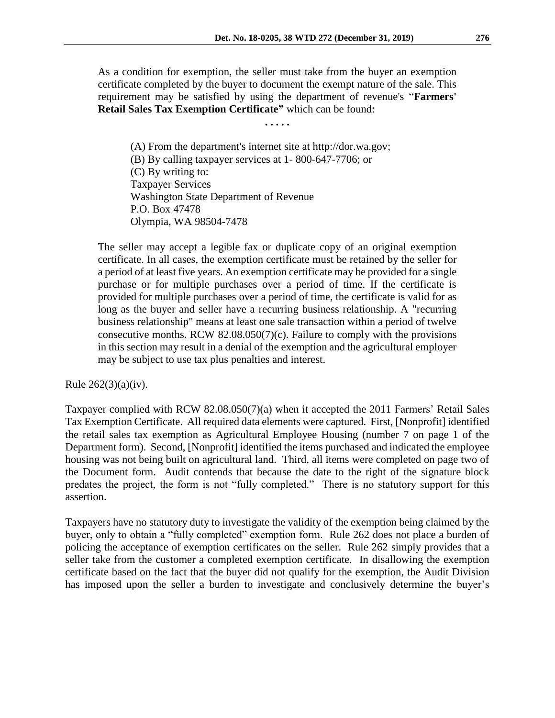As a condition for exemption, the seller must take from the buyer an exemption certificate completed by the buyer to document the exempt nature of the sale. This requirement may be satisfied by using the department of revenue's "**Farmers' Retail Sales Tax Exemption Certificate"** which can be found:

**. . . . .** 

(A) From the department's internet site at http://dor.wa.gov; (B) By calling taxpayer services at 1- 800-647-7706; or (C) By writing to: Taxpayer Services Washington State Department of Revenue P.O. Box 47478 Olympia, WA 98504-7478

The seller may accept a legible fax or duplicate copy of an original exemption certificate. In all cases, the exemption certificate must be retained by the seller for a period of at least five years. An exemption certificate may be provided for a single purchase or for multiple purchases over a period of time. If the certificate is provided for multiple purchases over a period of time, the certificate is valid for as long as the buyer and seller have a recurring business relationship. A "recurring business relationship" means at least one sale transaction within a period of twelve consecutive months. RCW 82.08.050(7)(c). Failure to comply with the provisions in this section may result in a denial of the exemption and the agricultural employer may be subject to use tax plus penalties and interest.

Rule  $262(3)(a)(iv)$ .

Taxpayer complied with RCW 82.08.050(7)(a) when it accepted the 2011 Farmers' Retail Sales Tax Exemption Certificate. All required data elements were captured. First, [Nonprofit] identified the retail sales tax exemption as Agricultural Employee Housing (number 7 on page 1 of the Department form). Second, [Nonprofit] identified the items purchased and indicated the employee housing was not being built on agricultural land. Third, all items were completed on page two of the Document form. Audit contends that because the date to the right of the signature block predates the project, the form is not "fully completed." There is no statutory support for this assertion.

Taxpayers have no statutory duty to investigate the validity of the exemption being claimed by the buyer, only to obtain a "fully completed" exemption form. Rule 262 does not place a burden of policing the acceptance of exemption certificates on the seller. Rule 262 simply provides that a seller take from the customer a completed exemption certificate. In disallowing the exemption certificate based on the fact that the buyer did not qualify for the exemption, the Audit Division has imposed upon the seller a burden to investigate and conclusively determine the buyer's